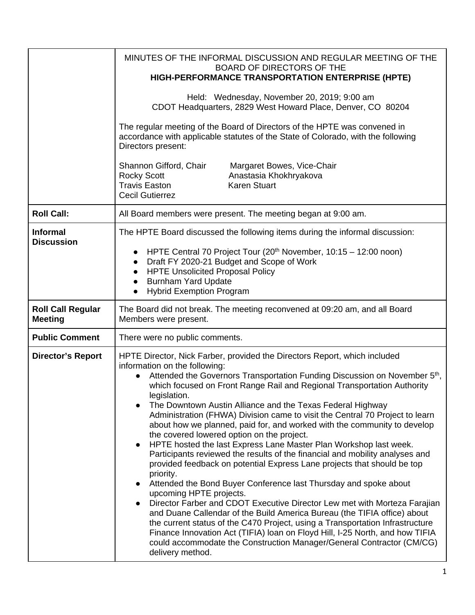|                                            | MINUTES OF THE INFORMAL DISCUSSION AND REGULAR MEETING OF THE<br><b>BOARD OF DIRECTORS OF THE</b><br>HIGH-PERFORMANCE TRANSPORTATION ENTERPRISE (HPTE)<br>Held: Wednesday, November 20, 2019; 9:00 am<br>CDOT Headquarters, 2829 West Howard Place, Denver, CO 80204<br>The regular meeting of the Board of Directors of the HPTE was convened in<br>accordance with applicable statutes of the State of Colorado, with the following<br>Directors present:<br>Shannon Gifford, Chair<br>Margaret Bowes, Vice-Chair<br><b>Rocky Scott</b><br>Anastasia Khokhryakova<br><b>Travis Easton</b><br><b>Karen Stuart</b><br><b>Cecil Gutierrez</b>                                                                                                                                                                                                                                                                                                                                                                                                                                                                                                                                                                                                                                                                                                                                      |
|--------------------------------------------|-----------------------------------------------------------------------------------------------------------------------------------------------------------------------------------------------------------------------------------------------------------------------------------------------------------------------------------------------------------------------------------------------------------------------------------------------------------------------------------------------------------------------------------------------------------------------------------------------------------------------------------------------------------------------------------------------------------------------------------------------------------------------------------------------------------------------------------------------------------------------------------------------------------------------------------------------------------------------------------------------------------------------------------------------------------------------------------------------------------------------------------------------------------------------------------------------------------------------------------------------------------------------------------------------------------------------------------------------------------------------------------|
| <b>Roll Call:</b>                          | All Board members were present. The meeting began at 9:00 am.                                                                                                                                                                                                                                                                                                                                                                                                                                                                                                                                                                                                                                                                                                                                                                                                                                                                                                                                                                                                                                                                                                                                                                                                                                                                                                                     |
| <b>Informal</b><br><b>Discussion</b>       | The HPTE Board discussed the following items during the informal discussion:<br>HPTE Central 70 Project Tour (20 <sup>th</sup> November, 10:15 - 12:00 noon)<br>Draft FY 2020-21 Budget and Scope of Work<br>$\bullet$<br><b>HPTE Unsolicited Proposal Policy</b><br>$\bullet$<br><b>Burnham Yard Update</b><br>$\bullet$<br><b>Hybrid Exemption Program</b>                                                                                                                                                                                                                                                                                                                                                                                                                                                                                                                                                                                                                                                                                                                                                                                                                                                                                                                                                                                                                      |
| <b>Roll Call Regular</b><br><b>Meeting</b> | The Board did not break. The meeting reconvened at 09:20 am, and all Board<br>Members were present.                                                                                                                                                                                                                                                                                                                                                                                                                                                                                                                                                                                                                                                                                                                                                                                                                                                                                                                                                                                                                                                                                                                                                                                                                                                                               |
| <b>Public Comment</b>                      | There were no public comments.                                                                                                                                                                                                                                                                                                                                                                                                                                                                                                                                                                                                                                                                                                                                                                                                                                                                                                                                                                                                                                                                                                                                                                                                                                                                                                                                                    |
| <b>Director's Report</b>                   | HPTE Director, Nick Farber, provided the Directors Report, which included<br>information on the following:<br>Attended the Governors Transportation Funding Discussion on November 5 <sup>th</sup> ,<br>which focused on Front Range Rail and Regional Transportation Authority<br>legislation.<br>The Downtown Austin Alliance and the Texas Federal Highway<br>Administration (FHWA) Division came to visit the Central 70 Project to learn<br>about how we planned, paid for, and worked with the community to develop<br>the covered lowered option on the project.<br>HPTE hosted the last Express Lane Master Plan Workshop last week.<br>$\bullet$<br>Participants reviewed the results of the financial and mobility analyses and<br>provided feedback on potential Express Lane projects that should be top<br>priority.<br>Attended the Bond Buyer Conference last Thursday and spoke about<br>$\bullet$<br>upcoming HPTE projects.<br>Director Farber and CDOT Executive Director Lew met with Morteza Farajian<br>$\bullet$<br>and Duane Callendar of the Build America Bureau (the TIFIA office) about<br>the current status of the C470 Project, using a Transportation Infrastructure<br>Finance Innovation Act (TIFIA) loan on Floyd Hill, I-25 North, and how TIFIA<br>could accommodate the Construction Manager/General Contractor (CM/CG)<br>delivery method. |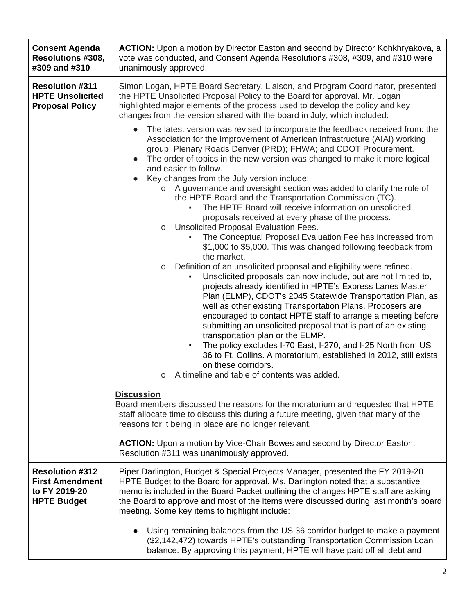| <b>Consent Agenda</b><br>Resolutions #308,<br>#309 and #310                             | <b>ACTION:</b> Upon a motion by Director Easton and second by Director Kohkhryakova, a<br>vote was conducted, and Consent Agenda Resolutions #308, #309, and #310 were<br>unanimously approved.                                                                                                                                                                                                                                |
|-----------------------------------------------------------------------------------------|--------------------------------------------------------------------------------------------------------------------------------------------------------------------------------------------------------------------------------------------------------------------------------------------------------------------------------------------------------------------------------------------------------------------------------|
| <b>Resolution #311</b><br><b>HPTE Unsolicited</b><br><b>Proposal Policy</b>             | Simon Logan, HPTE Board Secretary, Liaison, and Program Coordinator, presented<br>the HPTE Unsolicited Proposal Policy to the Board for approval. Mr. Logan<br>highlighted major elements of the process used to develop the policy and key<br>changes from the version shared with the board in July, which included:<br>The latest version was revised to incorporate the feedback received from: the                        |
|                                                                                         | Association for the Improvement of American Infrastructure (AIAI) working<br>group; Plenary Roads Denver (PRD); FHWA; and CDOT Procurement.<br>The order of topics in the new version was changed to make it more logical<br>and easier to follow.<br>Key changes from the July version include:                                                                                                                               |
|                                                                                         | A governance and oversight section was added to clarify the role of<br>$\circ$<br>the HPTE Board and the Transportation Commission (TC).<br>The HPTE Board will receive information on unsolicited<br>proposals received at every phase of the process.                                                                                                                                                                        |
|                                                                                         | Unsolicited Proposal Evaluation Fees.<br>O<br>The Conceptual Proposal Evaluation Fee has increased from<br>\$1,000 to \$5,000. This was changed following feedback from<br>the market.<br>Definition of an unsolicited proposal and eligibility were refined.<br>$\circ$                                                                                                                                                       |
|                                                                                         | Unsolicited proposals can now include, but are not limited to,<br>projects already identified in HPTE's Express Lanes Master<br>Plan (ELMP), CDOT's 2045 Statewide Transportation Plan, as<br>well as other existing Transportation Plans. Proposers are<br>encouraged to contact HPTE staff to arrange a meeting before<br>submitting an unsolicited proposal that is part of an existing<br>transportation plan or the ELMP. |
|                                                                                         | The policy excludes I-70 East, I-270, and I-25 North from US<br>36 to Ft. Collins. A moratorium, established in 2012, still exists<br>on these corridors.<br>A timeline and table of contents was added.<br>O                                                                                                                                                                                                                  |
|                                                                                         | <b>Discussion</b><br>Board members discussed the reasons for the moratorium and requested that HPTE<br>staff allocate time to discuss this during a future meeting, given that many of the<br>reasons for it being in place are no longer relevant.                                                                                                                                                                            |
|                                                                                         | <b>ACTION:</b> Upon a motion by Vice-Chair Bowes and second by Director Easton,<br>Resolution #311 was unanimously approved.                                                                                                                                                                                                                                                                                                   |
| <b>Resolution #312</b><br><b>First Amendment</b><br>to FY 2019-20<br><b>HPTE Budget</b> | Piper Darlington, Budget & Special Projects Manager, presented the FY 2019-20<br>HPTE Budget to the Board for approval. Ms. Darlington noted that a substantive<br>memo is included in the Board Packet outlining the changes HPTE staff are asking<br>the Board to approve and most of the items were discussed during last month's board<br>meeting. Some key items to highlight include:                                    |
|                                                                                         | Using remaining balances from the US 36 corridor budget to make a payment<br>(\$2,142,472) towards HPTE's outstanding Transportation Commission Loan<br>balance. By approving this payment, HPTE will have paid off all debt and                                                                                                                                                                                               |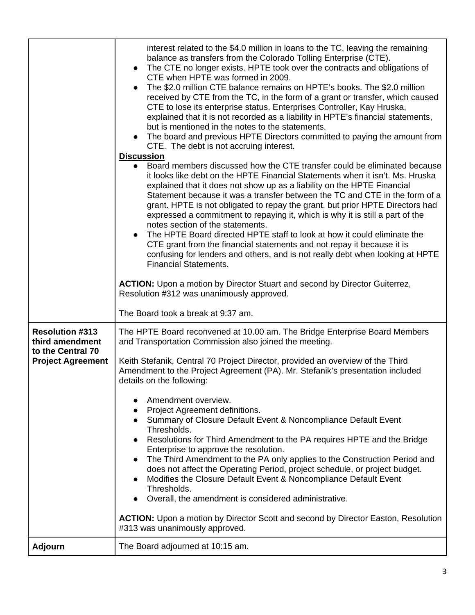|                                                                                            | interest related to the \$4.0 million in loans to the TC, leaving the remaining<br>balance as transfers from the Colorado Tolling Enterprise (CTE).<br>• The CTE no longer exists. HPTE took over the contracts and obligations of<br>CTE when HPTE was formed in 2009.<br>The \$2.0 million CTE balance remains on HPTE's books. The \$2.0 million<br>received by CTE from the TC, in the form of a grant or transfer, which caused<br>CTE to lose its enterprise status. Enterprises Controller, Kay Hruska,<br>explained that it is not recorded as a liability in HPTE's financial statements,<br>but is mentioned in the notes to the statements.<br>• The board and previous HPTE Directors committed to paying the amount from<br>CTE. The debt is not accruing interest.<br><b>Discussion</b><br>• Board members discussed how the CTE transfer could be eliminated because<br>it looks like debt on the HPTE Financial Statements when it isn't. Ms. Hruska<br>explained that it does not show up as a liability on the HPTE Financial<br>Statement because it was a transfer between the TC and CTE in the form of a<br>grant. HPTE is not obligated to repay the grant, but prior HPTE Directors had<br>expressed a commitment to repaying it, which is why it is still a part of the<br>notes section of the statements.<br>The HPTE Board directed HPTE staff to look at how it could eliminate the<br>CTE grant from the financial statements and not repay it because it is<br>confusing for lenders and others, and is not really debt when looking at HPTE<br><b>Financial Statements.</b><br>ACTION: Upon a motion by Director Stuart and second by Director Guiterrez,<br>Resolution #312 was unanimously approved.<br>The Board took a break at 9:37 am. |
|--------------------------------------------------------------------------------------------|------------------------------------------------------------------------------------------------------------------------------------------------------------------------------------------------------------------------------------------------------------------------------------------------------------------------------------------------------------------------------------------------------------------------------------------------------------------------------------------------------------------------------------------------------------------------------------------------------------------------------------------------------------------------------------------------------------------------------------------------------------------------------------------------------------------------------------------------------------------------------------------------------------------------------------------------------------------------------------------------------------------------------------------------------------------------------------------------------------------------------------------------------------------------------------------------------------------------------------------------------------------------------------------------------------------------------------------------------------------------------------------------------------------------------------------------------------------------------------------------------------------------------------------------------------------------------------------------------------------------------------------------------------------------------------------------------------------------------------------------------------------------------|
| <b>Resolution #313</b><br>third amendment<br>to the Central 70<br><b>Project Agreement</b> | The HPTE Board reconvened at 10.00 am. The Bridge Enterprise Board Members<br>and Transportation Commission also joined the meeting.<br>Keith Stefanik, Central 70 Project Director, provided an overview of the Third<br>Amendment to the Project Agreement (PA). Mr. Stefanik's presentation included<br>details on the following:<br>Amendment overview.<br><b>Project Agreement definitions.</b><br>Summary of Closure Default Event & Noncompliance Default Event<br>Thresholds.<br>Resolutions for Third Amendment to the PA requires HPTE and the Bridge<br>Enterprise to approve the resolution.<br>The Third Amendment to the PA only applies to the Construction Period and<br>does not affect the Operating Period, project schedule, or project budget.<br>Modifies the Closure Default Event & Noncompliance Default Event<br>Thresholds.<br>Overall, the amendment is considered administrative.<br><b>ACTION:</b> Upon a motion by Director Scott and second by Director Easton, Resolution<br>#313 was unanimously approved.                                                                                                                                                                                                                                                                                                                                                                                                                                                                                                                                                                                                                                                                                                                                 |
| <b>Adjourn</b>                                                                             | The Board adjourned at 10:15 am.                                                                                                                                                                                                                                                                                                                                                                                                                                                                                                                                                                                                                                                                                                                                                                                                                                                                                                                                                                                                                                                                                                                                                                                                                                                                                                                                                                                                                                                                                                                                                                                                                                                                                                                                             |